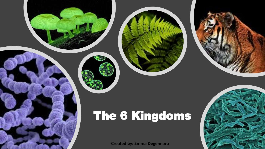

**Created by: Emma Degennaro**

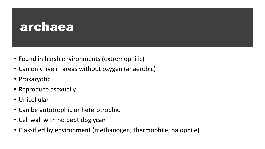### archaea

- Found in harsh environments (extremophilic)
- Can only live in areas without oxygen (anaerobic)
- Prokaryotic
- Reproduce asexually
- Unicellular
- Can be autotrophic or heterotrophic
- Cell wall with no peptidoglycan
- Classified by environment (methanogen, thermophile, halophile)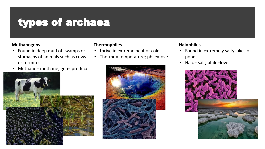### types of archaea

#### **Methanogens**

- Found in deep mud of swamps or stomachs of animals such as cows or termites
- Methano= methane; gen= produce



#### **Thermophiles**

- thrive in extreme heat or cold
- Thermo= temperature; phile=love



#### **Halophiles**

- Found in extremely salty lakes or ponds
- Halo= salt; phile=love

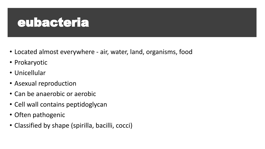# eubacteria

- Located almost everywhere air, water, land, organisms, food
- Prokaryotic
- Unicellular
- Asexual reproduction
- Can be anaerobic or aerobic
- Cell wall contains peptidoglycan
- Often pathogenic
- Classified by shape (spirilla, bacilli, cocci)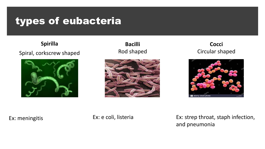### types of eubacteria

**Spirilla** Spiral, corkscrew shaped



**Bacilli** Rod shaped



**Cocci** Circular shaped



Ex: meningitis

Ex: e coli, listeria

Ex: strep throat, staph infection, and pneumonia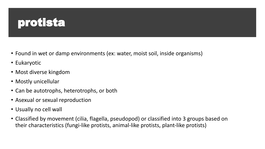# protista

- Found in wet or damp environments (ex: water, moist soil, inside organisms)
- Eukaryotic
- Most diverse kingdom
- Mostly unicellular
- Can be autotrophs, heterotrophs, or both
- Asexual or sexual reproduction
- Usually no cell wall
- Classified by movement (cilia, flagella, pseudopod) or classified into 3 groups based on their characteristics (fungi-like protists, animal-like protists, plant-like protists)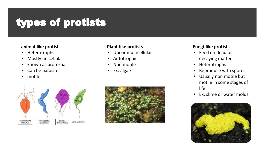### types of protists

#### **animal-like protists**

- Heterotrophs
- Mostly unicellular
- known as protozoa
- Can be parasites
- motile

#### **Plant-like protists**

- Uni or multicellular
- Autotrophic
- Non motile
- Ex: algae





#### **Fungi-like protists**

- Feed on dead or decaying matter
- Heterotrophs
- Reproduce with spores
- Usually non motile but motile in some stages of life
- Ex: slime or water molds

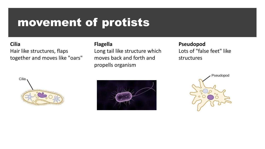### movement of protists

#### **Cilia**

Hair like structures, flaps together and moves like "oars"

#### **Flagella**

Long tail like structure which moves back and forth and propells organism

#### **Pseudopod**

Lots of "false feet" like structures





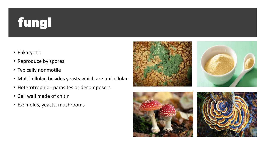# fungi

- Eukaryotic
- Reproduce by spores
- Typically nonmotile
- Multicellular, besides yeasts which are unicellular
- Heterotrophic parasites or decomposers
- Cell wall made of chitin
- Ex: molds, yeasts, mushrooms





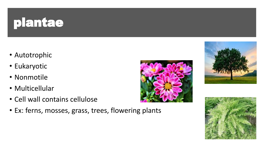# plantae

- Autotrophic
- Eukaryotic
- Nonmotile
- Multicellular
- Cell wall contains cellulose
- Ex: ferns, mosses, grass, trees, flowering plants